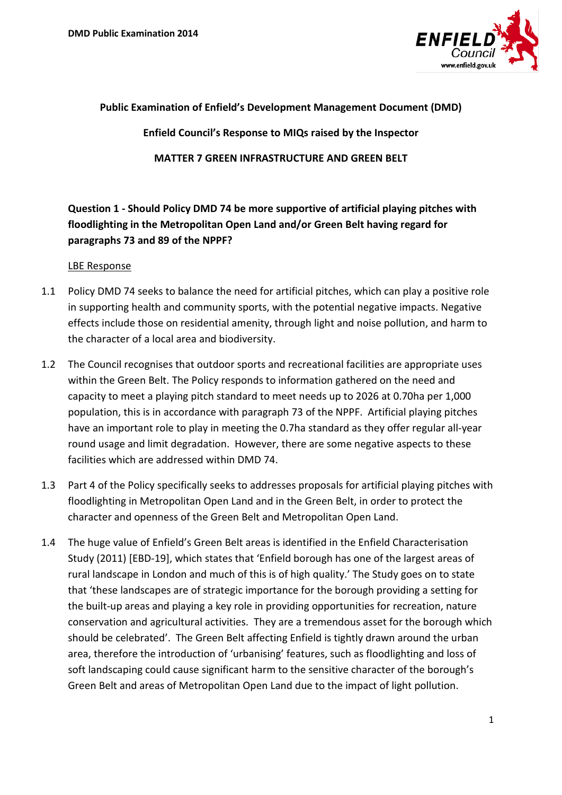

### **Public Examination of Enfield's Development Management Document (DMD)**

**Enfield Council's Response to MIQs raised by the Inspector** 

**MATTER 7 GREEN INFRASTRUCTURE AND GREEN BELT**

# **Question 1 - Should Policy DMD 74 be more supportive of artificial playing pitches with floodlighting in the Metropolitan Open Land and/or Green Belt having regard for paragraphs 73 and 89 of the NPPF?**

### LBE Response

- 1.1 Policy DMD 74 seeks to balance the need for artificial pitches, which can play a positive role in supporting health and community sports, with the potential negative impacts. Negative effects include those on residential amenity, through light and noise pollution, and harm to the character of a local area and biodiversity.
- 1.2 The Council recognises that outdoor sports and recreational facilities are appropriate uses within the Green Belt. The Policy responds to information gathered on the need and capacity to meet a playing pitch standard to meet needs up to 2026 at 0.70ha per 1,000 population, this is in accordance with paragraph 73 of the NPPF. Artificial playing pitches have an important role to play in meeting the 0.7ha standard as they offer regular all-year round usage and limit degradation. However, there are some negative aspects to these facilities which are addressed within DMD 74.
- 1.3 Part 4 of the Policy specifically seeks to addresses proposals for artificial playing pitches with floodlighting in Metropolitan Open Land and in the Green Belt, in order to protect the character and openness of the Green Belt and Metropolitan Open Land.
- 1.4 The huge value of Enfield's Green Belt areas is identified in the Enfield Characterisation Study (2011) [EBD-19], which states that 'Enfield borough has one of the largest areas of rural landscape in London and much of this is of high quality.' The Study goes on to state that 'these landscapes are of strategic importance for the borough providing a setting for the built-up areas and playing a key role in providing opportunities for recreation, nature conservation and agricultural activities. They are a tremendous asset for the borough which should be celebrated'. The Green Belt affecting Enfield is tightly drawn around the urban area, therefore the introduction of 'urbanising' features, such as floodlighting and loss of soft landscaping could cause significant harm to the sensitive character of the borough's Green Belt and areas of Metropolitan Open Land due to the impact of light pollution.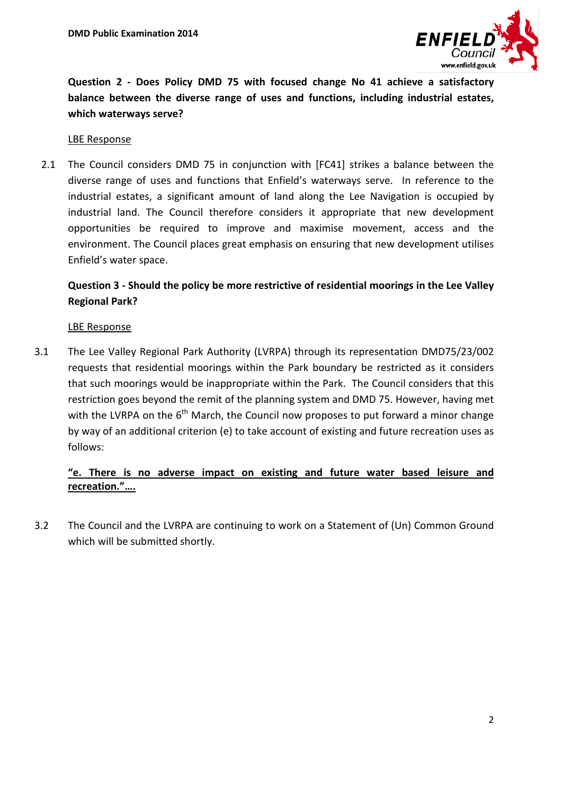

**Question 2 - Does Policy DMD 75 with focused change No 41 achieve a satisfactory balance between the diverse range of uses and functions, including industrial estates, which waterways serve?**

LBE Response

2.1 The Council considers DMD 75 in conjunction with [FC41] strikes a balance between the diverse range of uses and functions that Enfield's waterways serve. In reference to the industrial estates, a significant amount of land along the Lee Navigation is occupied by industrial land. The Council therefore considers it appropriate that new development opportunities be required to improve and maximise movement, access and the environment. The Council places great emphasis on ensuring that new development utilises Enfield's water space.

# **Question 3 - Should the policy be more restrictive of residential moorings in the Lee Valley Regional Park?**

### LBE Response

3.1 The Lee Valley Regional Park Authority (LVRPA) through its representation DMD75/23/002 requests that residential moorings within the Park boundary be restricted as it considers that such moorings would be inappropriate within the Park. The Council considers that this restriction goes beyond the remit of the planning system and DMD 75. However, having met with the LVRPA on the  $6<sup>th</sup>$  March, the Council now proposes to put forward a minor change by way of an additional criterion (e) to take account of existing and future recreation uses as follows:

## **"e. There is no adverse impact on existing and future water based leisure and recreation."….**

3.2 The Council and the LVRPA are continuing to work on a Statement of (Un) Common Ground which will be submitted shortly.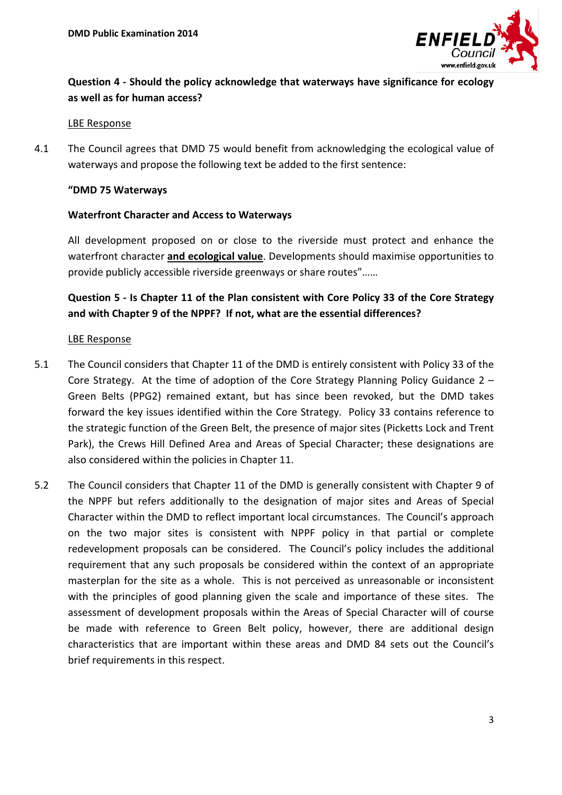

# **Question 4 - Should the policy acknowledge that waterways have significance for ecology as well as for human access?**

#### LBE Response

4.1 The Council agrees that DMD 75 would benefit from acknowledging the ecological value of waterways and propose the following text be added to the first sentence:

### **"DMD 75 Waterways**

### **Waterfront Character and Access to Waterways**

All development proposed on or close to the riverside must protect and enhance the waterfront character **and ecological value**. Developments should maximise opportunities to provide publicly accessible riverside greenways or share routes"……

# **Question 5 - Is Chapter 11 of the Plan consistent with Core Policy 33 of the Core Strategy and with Chapter 9 of the NPPF? If not, what are the essential differences?**

#### LBE Response

- 5.1 The Council considers that Chapter 11 of the DMD is entirely consistent with Policy 33 of the Core Strategy. At the time of adoption of the Core Strategy Planning Policy Guidance 2 – Green Belts (PPG2) remained extant, but has since been revoked, but the DMD takes forward the key issues identified within the Core Strategy. Policy 33 contains reference to the strategic function of the Green Belt, the presence of major sites (Picketts Lock and Trent Park), the Crews Hill Defined Area and Areas of Special Character; these designations are also considered within the policies in Chapter 11.
- 5.2 The Council considers that Chapter 11 of the DMD is generally consistent with Chapter 9 of the NPPF but refers additionally to the designation of major sites and Areas of Special Character within the DMD to reflect important local circumstances. The Council's approach on the two major sites is consistent with NPPF policy in that partial or complete redevelopment proposals can be considered. The Council's policy includes the additional requirement that any such proposals be considered within the context of an appropriate masterplan for the site as a whole. This is not perceived as unreasonable or inconsistent with the principles of good planning given the scale and importance of these sites. The assessment of development proposals within the Areas of Special Character will of course be made with reference to Green Belt policy, however, there are additional design characteristics that are important within these areas and DMD 84 sets out the Council's brief requirements in this respect.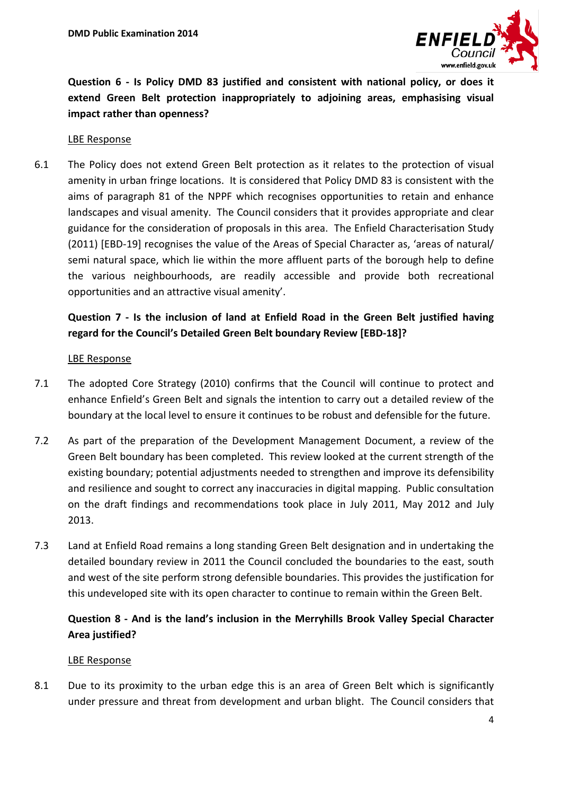

**Question 6 - Is Policy DMD 83 justified and consistent with national policy, or does it extend Green Belt protection inappropriately to adjoining areas, emphasising visual impact rather than openness?**

#### LBE Response

6.1 The Policy does not extend Green Belt protection as it relates to the protection of visual amenity in urban fringe locations. It is considered that Policy DMD 83 is consistent with the aims of paragraph 81 of the NPPF which recognises opportunities to retain and enhance landscapes and visual amenity. The Council considers that it provides appropriate and clear guidance for the consideration of proposals in this area. The Enfield Characterisation Study (2011) [EBD-19] recognises the value of the Areas of Special Character as, 'areas of natural/ semi natural space, which lie within the more affluent parts of the borough help to define the various neighbourhoods, are readily accessible and provide both recreational opportunities and an attractive visual amenity'.

# **Question 7 - Is the inclusion of land at Enfield Road in the Green Belt justified having regard for the Council's Detailed Green Belt boundary Review [EBD-18]?**

### LBE Response

- 7.1 The adopted Core Strategy (2010) confirms that the Council will continue to protect and enhance Enfield's Green Belt and signals the intention to carry out a detailed review of the boundary at the local level to ensure it continues to be robust and defensible for the future.
- 7.2 As part of the preparation of the Development Management Document, a review of the Green Belt boundary has been completed. This review looked at the current strength of the existing boundary; potential adjustments needed to strengthen and improve its defensibility and resilience and sought to correct any inaccuracies in digital mapping. Public consultation on the draft findings and recommendations took place in July 2011, May 2012 and July 2013.
- 7.3 Land at Enfield Road remains a long standing Green Belt designation and in undertaking the detailed boundary review in 2011 the Council concluded the boundaries to the east, south and west of the site perform strong defensible boundaries. This provides the justification for this undeveloped site with its open character to continue to remain within the Green Belt.

# **Question 8 - And is the land's inclusion in the Merryhills Brook Valley Special Character Area justified?**

#### LBE Response

8.1 Due to its proximity to the urban edge this is an area of Green Belt which is significantly under pressure and threat from development and urban blight. The Council considers that